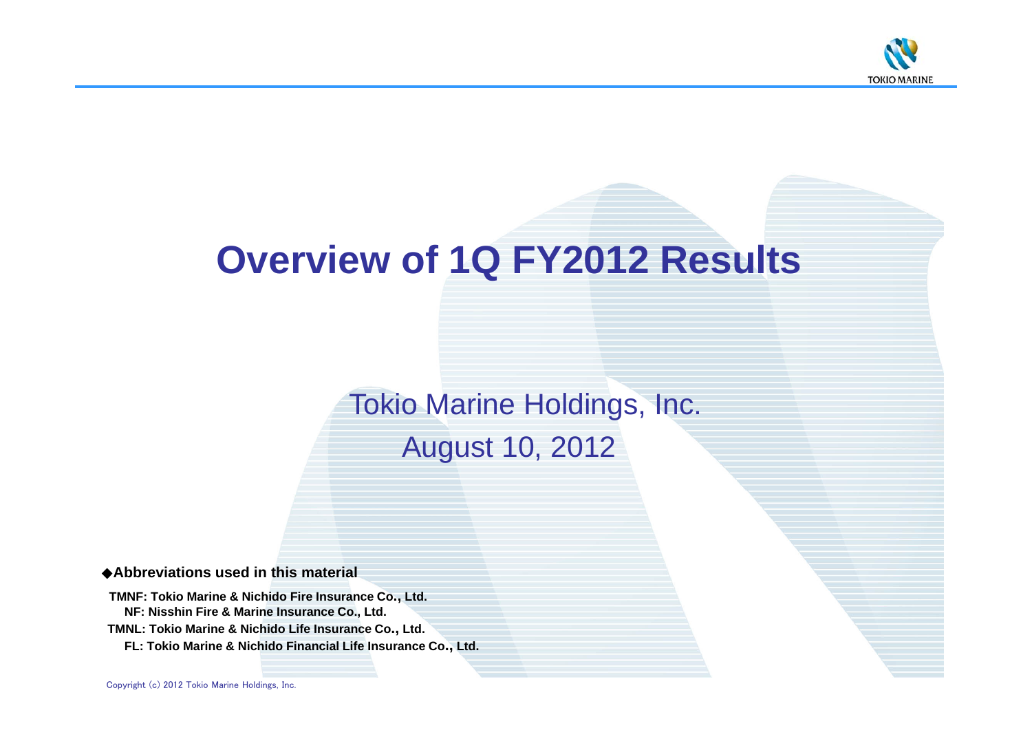

# **Overview of 1Q FY2012 Results**

Tokio Marine Holdings, Inc.

August 10, 2012

◆**Abbreviations used in this material**

**TMNF: Tokio Marine & Nichido Fire Insurance Co., Ltd. NF: Nisshin Fire & Marine Insurance Co., Ltd. TMNL: Tokio Marine & Nichido Life Insurance Co., Ltd.**

**FL: Tokio Marine & Nichido Financial Life Insurance Co., Ltd.**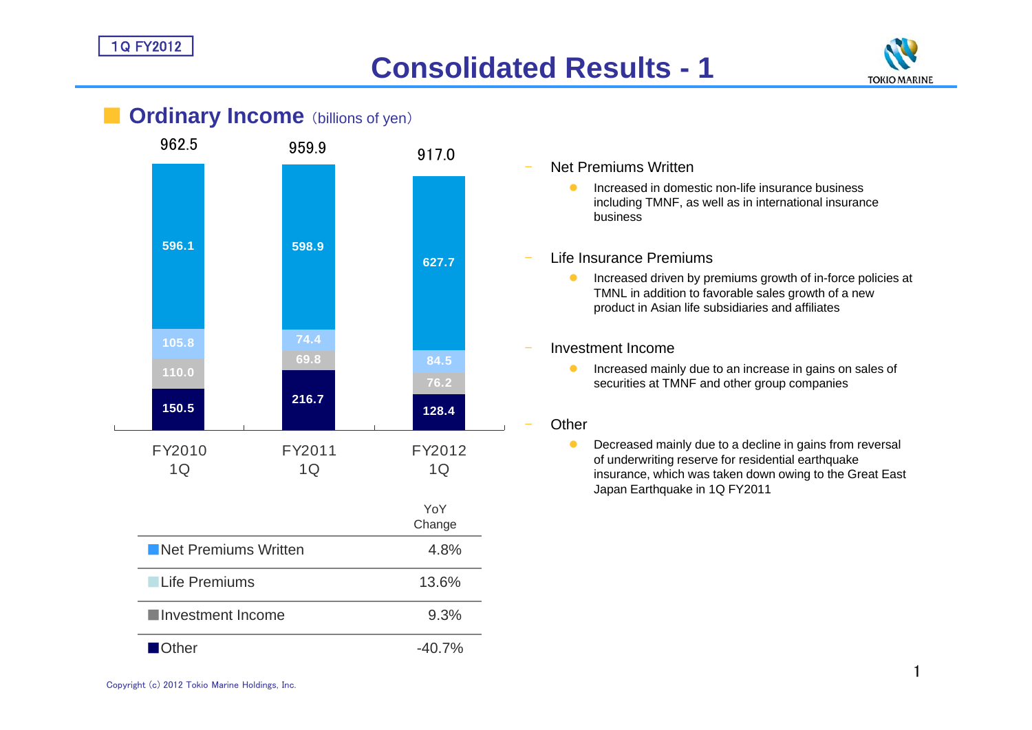# **Consolidated Results - 1**



### **Ordinary Income** (billions of yen) 917.0 962.5 959.9 **150.5216.7 128.4 110.069.8 76.2 105.884.5 596.1 598.9627.7**FY20101QFY20111QFY2012 $1<sub>O</sub>$ YoY **Change** ■ Net Premiums Written 4.8% ■Life Premiums 13.6% ■Investment Income 9.3% ■Other -40.7%

#### $\bullet$ Increased in domestic non-life insurance business

including TMNF, as well as in international insurance business

### Life Insurance Premiums

Net Premiums Written

 $\bullet$  Increased driven by premiums growth of in-force policies at TMNL in addition to favorable sales growth of a new product in Asian life subsidiaries and affiliates

### Investment Income

 $\bullet$  Increased mainly due to an increase in gains on sales of securities at TMNF and other group companies

### **Other**

 $\bullet$  Decreased mainly due to a decline in gains from reversal of underwriting reserve for residential earthquake insurance, which was taken down owing to the Great East Japan Earthquake in 1Q FY2011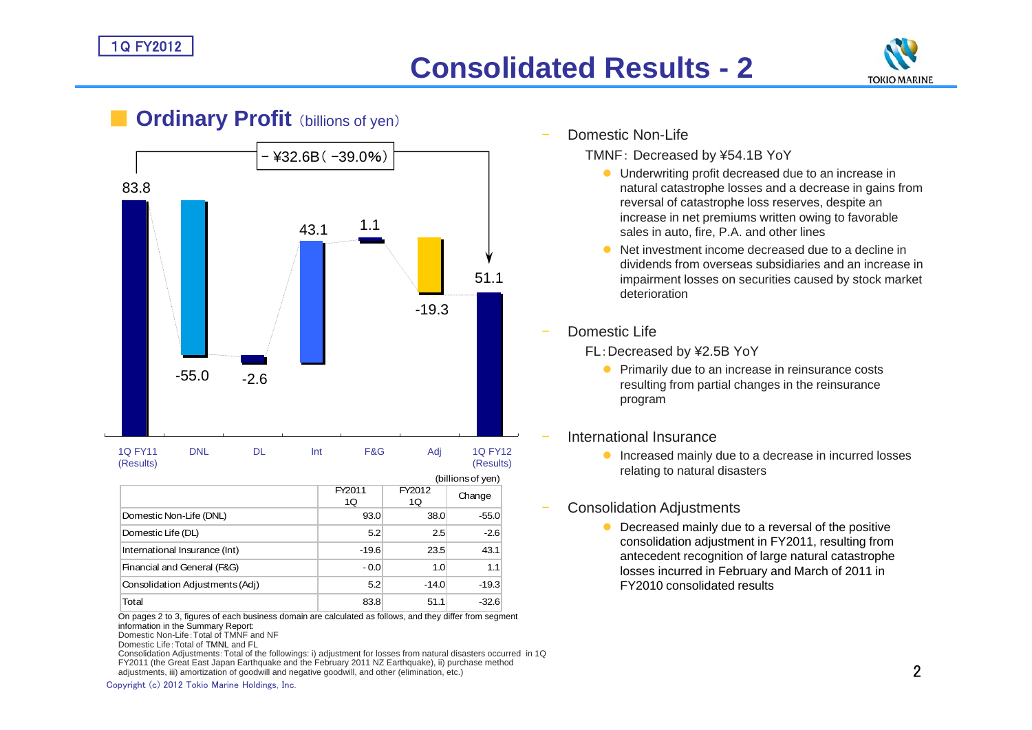

#### ■**Ordinary Profit** (billions of yen)



|                                 | (billions of yen) |              |         |  |  |
|---------------------------------|-------------------|--------------|---------|--|--|
|                                 | FY2011<br>1Q      | FY2012<br>1Q | Change  |  |  |
| Domestic Non-Life (DNL)         | 93.0              | 38.0         | $-55.0$ |  |  |
| Domestic Life (DL)              | 5.2               | 2.5          | $-2.6$  |  |  |
| International Insurance (Int)   | $-19.6$           | 23.5         | 43.1    |  |  |
| Financial and General (F&G)     | $-0.0$            | 1.0          | 1.1     |  |  |
| Consolidation Adjustments (Adj) | 5.2               | $-14.0$      | $-19.3$ |  |  |
| Total                           | 83.8              | 51.1         | $-32.6$ |  |  |

On pages 2 to 3, figures of each business domain are calculated as follows, and they differ from segment information in the Summary Report:

Domestic Non-Life:Total of TMNF and NF

Consolidation Adjustments:Total of the followings: i) adjustment for losses from natural disasters occurred in 1Q FY2011 (the Great East Japan Earthquake and the February 2011 NZ Earthquake), ii) purchase method adjustments, iii) amortization of goodwill and negative goodwill, and other (elimination, etc.)

Copyright (c) 2012 Tokio Marine Holdings, Inc.

#### Domestic Non-Life

TMNF: Decreased by ¥54.1B YoY

- **Underwriting profit decreased due to an increase in** natural catastrophe losses and a decrease in gains from reversal of catastrophe loss reserves, despite an increase in net premiums written owing to favorable sales in auto, fire, P.A. and other lines
- Net investment income decreased due to a decline in dividends from overseas subsidiaries and an increase in impairment losses on securities caused by stock market deterioration
- Domestic Life
	- FL:Decreased by ¥2.5B YoY
		- **•** Primarily due to an increase in reinsurance costs resulting from partial changes in the reinsurance program
- International Insurance
	- **Increased mainly due to a decrease in incurred losses** relating to natural disasters
- Consolidation Adjustments
	- Decreased mainly due to a reversal of the positive consolidation adjustment in FY2011, resulting from antecedent recognition of large natural catastrophe losses incurred in February and March of 2011 in FY2010 consolidated results

Domestic Life:Total of TMNL and FL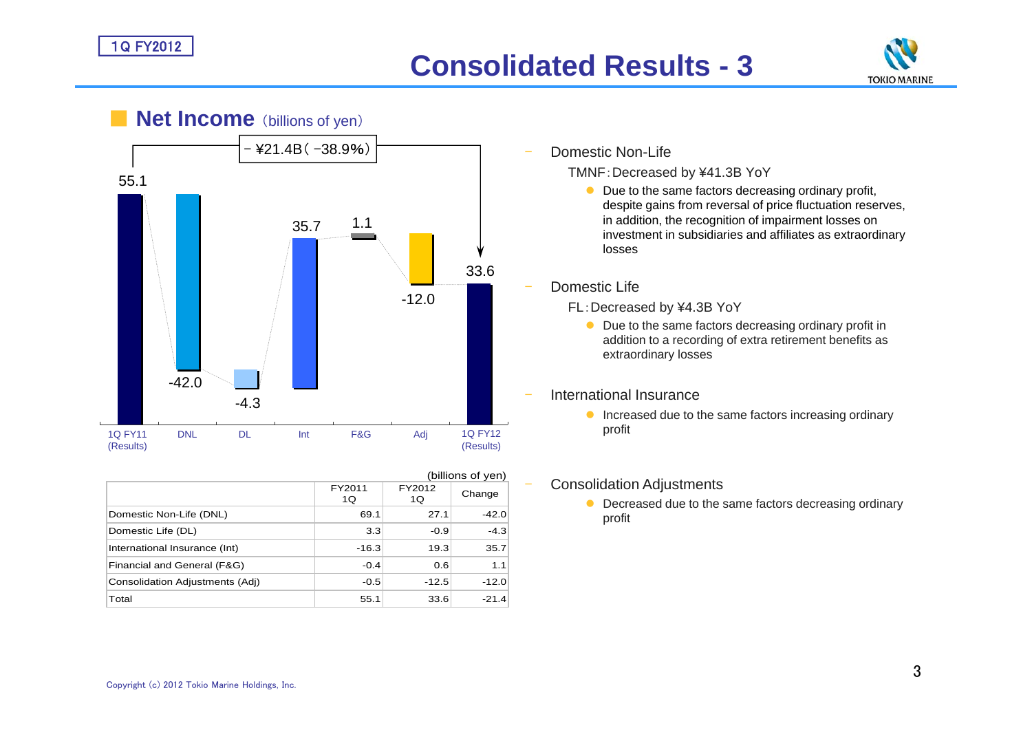# **Consolidated Results - 3**





|                                 | (billions of yen) |              |         |  |  |
|---------------------------------|-------------------|--------------|---------|--|--|
|                                 | FY2011<br>1Q      | FY2012<br>1Q | Change  |  |  |
| Domestic Non-Life (DNL)         | 69.1              | 27.1         | $-42.0$ |  |  |
| Domestic Life (DL)              | 3.3               | $-0.9$       | $-4.3$  |  |  |
| International Insurance (Int)   | $-16.3$           | 19.3         | 35.7    |  |  |
| Financial and General (F&G)     | $-0.4$            | 0.6          | 1.1     |  |  |
| Consolidation Adjustments (Adj) | $-0.5$            | $-12.5$      | $-12.0$ |  |  |
| Total                           | 55.1              | 33.6         | $-21.4$ |  |  |

### Domestic Non-Life

TMNF:Decreased by ¥41.3B YoY

• Due to the same factors decreasing ordinary profit, despite gains from reversal of price fluctuation reserves, in addition, the recognition of impairment losses on investment in subsidiaries and affiliates as extraordinary losses

#### Domestic Life

- FL:Decreased by ¥4.3B YoY
	- Due to the same factors decreasing ordinary profit in addition to a recording of extra retirement benefits as extraordinary losses
- International Insurance
	- **Increased due to the same factors increasing ordinary** profit

### Consolidation Adjustments

• Decreased due to the same factors decreasing ordinary profit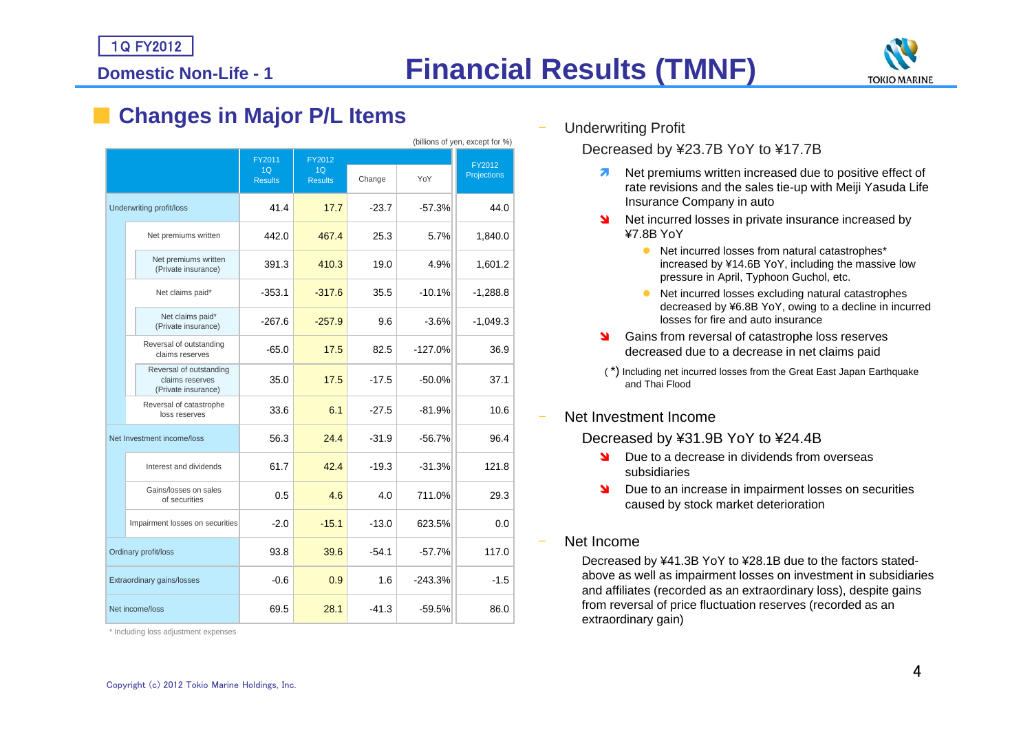**Domestic Non-Life - 1**

**Financial Results (TMNF)**



## **Changes in Major P/L Items**

| (billions of yen, except for %) |                                                                   |                                |                                                 |         |                       |            |
|---------------------------------|-------------------------------------------------------------------|--------------------------------|-------------------------------------------------|---------|-----------------------|------------|
|                                 |                                                                   | FY2011<br>1Q<br><b>Results</b> | FY2012<br>1Q<br>YoY<br>Change<br><b>Results</b> |         | FY2012<br>Projections |            |
|                                 | Underwriting profit/loss                                          | 41.4                           | 17.7                                            | $-23.7$ | $-57.3%$              | 44.0       |
|                                 | Net premiums written                                              | 442.0                          | 467.4                                           | 25.3    | 5.7%                  | 1,840.0    |
|                                 | Net premiums written<br>(Private insurance)                       | 391.3                          | 410.3                                           | 19.0    | 4.9%                  | 1,601.2    |
|                                 | Net claims paid*                                                  | $-353.1$                       | $-317.6$                                        | 35.5    | $-10.1%$              | $-1,288.8$ |
|                                 | Net claims paid*<br>(Private insurance)                           | $-267.6$                       | $-257.9$                                        | 9.6     | $-3.6%$               | $-1,049.3$ |
|                                 | Reversal of outstanding<br>$-65.0$<br>claims reserves             |                                | 17.5                                            | 82.5    | $-127.0%$             | 36.9       |
|                                 | Reversal of outstanding<br>claims reserves<br>(Private insurance) | 35.0                           | 17.5                                            | $-17.5$ | $-50.0%$              | 37.1       |
|                                 | Reversal of catastrophe<br>loss reserves                          | 33.6                           | 6.1                                             | $-27.5$ | $-81.9%$              | 10.6       |
|                                 | Net Investment income/loss                                        | 56.3                           | 24.4                                            | $-31.9$ | $-56.7%$              | 96.4       |
|                                 | Interest and dividends                                            | 61.7                           | 42.4                                            | $-19.3$ | $-31.3%$              | 121.8      |
|                                 | Gains/losses on sales<br>of securities                            | 0.5                            | 4.6                                             | 4.0     | 711.0%                | 29.3       |
|                                 | Impairment losses on securities                                   | $-2.0$                         | $-15.1$                                         | $-13.0$ | 623.5%                | 0.0        |
|                                 | Ordinary profit/loss                                              | 93.8                           | 39.6                                            | $-54.1$ | $-57.7%$              | 117.0      |
|                                 | Extraordinary gains/losses                                        | $-0.6$                         | 0.9                                             | 1.6     | $-243.3%$             | $-1.5$     |
| Net income/loss                 |                                                                   | 69.5                           | 28.1                                            | $-41.3$ | $-59.5%$              | 86.0       |

\* Including loss adjustment expenses

Underwriting Profit

Decreased by ¥23.7B YoY to ¥17.7B

- $\overline{\phantom{a}}$  Net premiums written increased due to positive effect of rate revisions and the sales tie-up with Meiji Yasuda Life Insurance Company in auto
- Net incurred losses in private insurance increased by ¥7.8B YoY
	- Net incurred losses from natural catastrophes<sup>\*</sup> increased by ¥14.6B YoY, including the massive low pressure in April, Typhoon Guchol, etc.
	- $\bullet$  Net incurred losses excluding natural catastrophes decreased by ¥6.8B YoY, owing to a decline in incurred losses for fire and auto insurance
- Status Gains from reversal of catastrophe loss reserves decreased due to a decrease in net claims paid
- ( \*) Including net incurred losses from the Great East Japan Earthquake and Thai Flood

### Net Investment Income

Decreased by ¥31.9B YoY to ¥24.4B

- **N** Due to a decrease in dividends from overseas subsidiaries
- Due to an increase in impairment losses on securities caused by stock market deterioration
- Net Income

Decreased by ¥41.3B YoY to ¥28.1B due to the factors statedabove as well as impairment losses on investment in subsidiaries and affiliates (recorded as an extraordinary loss), despite gains from reversal of price fluctuation reserves (recorded as an extraordinary gain)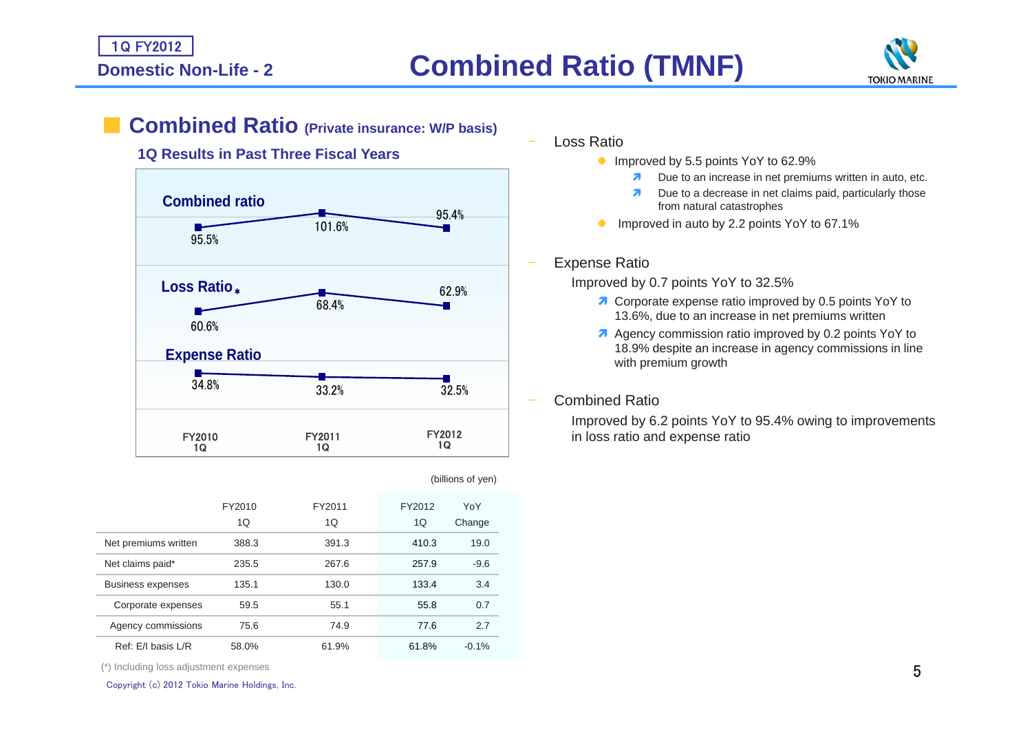

#### ■**Combined Ratio (Private insurance: W/P basis)**

### **1Q Results in Past Three Fiscal Years**



|                          | FY2010<br>1Q | FY2011<br>1 <sub>O</sub> | FY2012<br>1 <sub>O</sub> | YoY<br>Change |
|--------------------------|--------------|--------------------------|--------------------------|---------------|
| Net premiums written     | 388.3        | 391.3                    | 410.3                    | 19.0          |
| Net claims paid*         | 235.5        | 267.6                    | 257.9                    | $-9.6$        |
| <b>Business expenses</b> | 135.1        | 130.0                    | 133.4                    | 3.4           |
| Corporate expenses       | 59.5         | 55.1                     | 55.8                     | 0.7           |
| Agency commissions       | 75.6         | 74.9                     | 77.6                     | 2.7           |
| Ref: E/I basis L/R       | 58.0%        | 61.9%                    | 61.8%                    | $-0.1%$       |

(\*) Including loss adjustment expenses

Copyright (c) 2012 Tokio Marine Holdings, Inc.

#### Loss Ratio

- **Improved by 5.5 points YoY to 62.9%** 
	- $\overline{\mathbf{z}}$ Due to an increase in net premiums written in auto, etc.
	- $\overline{\phantom{a}}$  Due to a decrease in net claims paid, particularly those from natural catastrophes
- $\bullet$ Improved in auto by 2.2 points YoY to 67.1%

### Expense Ratio

- Improved by 0.7 points YoY to 32.5%
	- **7** Corporate expense ratio improved by 0.5 points YoY to 13.6%, due to an increase in net premiums written
	- A Agency commission ratio improved by 0.2 points YoY to 18.9% despite an increase in agency commissions in line with premium growth

### Combined Ratio

(billions of yen)

Improved by 6.2 points YoY to 95.4% owing to improvements in loss ratio and expense ratio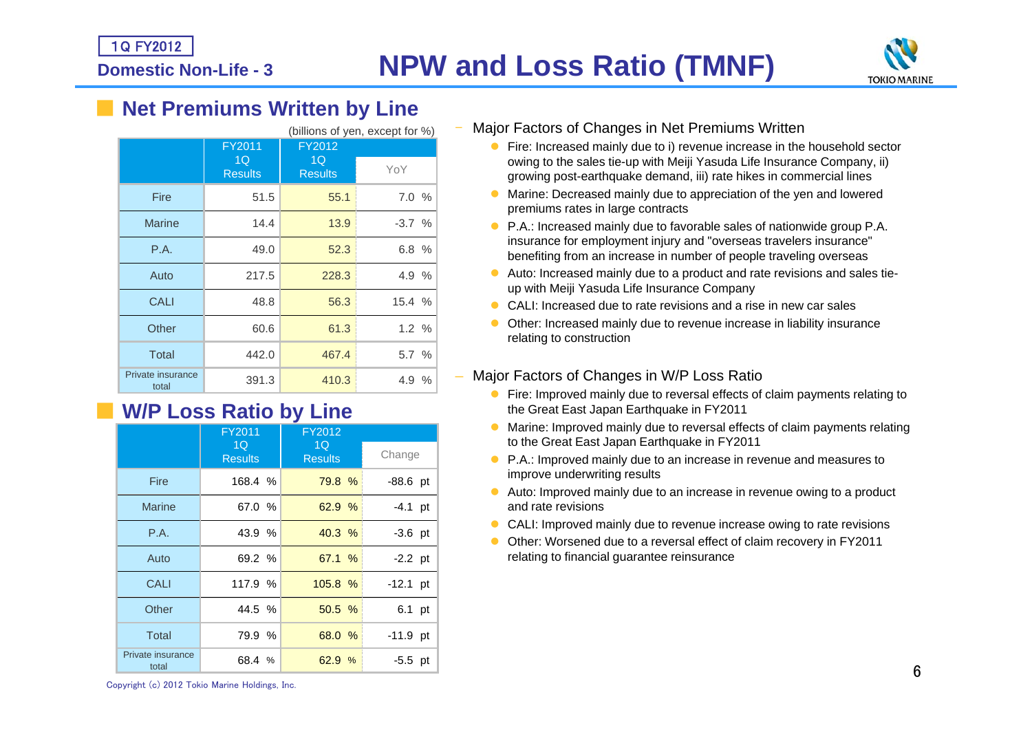

### ■ Net Premiums Written by Line

|                            | (billions of yen, except for %) |                |             |  |  |  |  |
|----------------------------|---------------------------------|----------------|-------------|--|--|--|--|
|                            | FY2011                          | FY2012         |             |  |  |  |  |
|                            | 1 <sub>O</sub>                  | 1Q             | YoY         |  |  |  |  |
|                            | <b>Results</b>                  | <b>Results</b> |             |  |  |  |  |
| Fire                       | 51.5                            | 55.1           | 7.0%        |  |  |  |  |
| <b>Marine</b>              | 14.4                            | 13.9           | $-3.7%$     |  |  |  |  |
| P.A.                       | 49.0                            | 52.3           | 6.8%        |  |  |  |  |
| Auto                       | 217.5                           | 228.3          | 4.9 %       |  |  |  |  |
| CALI                       | 48.8                            | 56.3           | 15.4 %      |  |  |  |  |
| Other                      | 60.6                            | 61.3           | 1.2%        |  |  |  |  |
| <b>Total</b>               | 442.0                           | 467.4          | 5.7%        |  |  |  |  |
| Private insurance<br>total | 391.3                           | 410.3          | 4.9<br>$\%$ |  |  |  |  |

## ■ **W/P Loss Ratio by Line**

|                            | FY2011                           | FY2012               |            |
|----------------------------|----------------------------------|----------------------|------------|
|                            | 1 <sub>O</sub><br><b>Results</b> | 1Q<br><b>Results</b> | Change     |
| Fire                       | 168.4 %                          | 79.8 %               | -88.6 pt   |
| <b>Marine</b>              | 67.0%                            | 62.9 %               | $-4.1$ pt  |
| P.A.                       | 43.9 %                           | 40.3%                | $-3.6$ pt  |
| Auto                       | 69.2 %                           | 67.1%                | $-2.2$ pt  |
| <b>CALI</b>                | 117.9 %                          | 105.8%               | $-12.1$ pt |
| Other                      | 44.5 %                           | 50.5%                | 6.1 pt     |
| Total                      | 79.9 %                           | 68.0 %               | $-11.9$ pt |
| Private insurance<br>total | 68.4 %                           | 62.9%                | $-5.5$ pt  |

#### Major Factors of Changes in Net Premiums Written

- **•** Fire: Increased mainly due to i) revenue increase in the household sector owing to the sales tie-up with Meiji Yasuda Life Insurance Company, ii) growing post-earthquake demand, iii) rate hikes in commercial lines
- 0 Marine: Decreased mainly due to appreciation of the yen and lowered premiums rates in large contracts
- P.A.: Increased mainly due to favorable sales of nationwide group P.A. insurance for employment injury and "overseas travelers insurance" benefiting from an increase in number of people traveling overseas
- $\bullet$  Auto: Increased mainly due to a product and rate revisions and sales tieup with Meiji Yasuda Life Insurance Company
- 0 CALI: Increased due to rate revisions and a rise in new car sales
- O Other: Increased mainly due to revenue increase in liability insurance relating to construction
- Major Factors of Changes in W/P Loss Ratio
	- Fire: Improved mainly due to reversal effects of claim payments relating to the Great East Japan Earthquake in FY2011
	- O Marine: Improved mainly due to reversal effects of claim payments relating to the Great East Japan Earthquake in FY2011
	- P.A.: Improved mainly due to an increase in revenue and measures to improve underwriting results
	- Auto: Improved mainly due to an increase in revenue owing to a product and rate revisions
	- $\bullet$ CALI: Improved mainly due to revenue increase owing to rate revisions
	- $\bullet$  Other: Worsened due to a reversal effect of claim recovery in FY2011 relating to financial guarantee reinsurance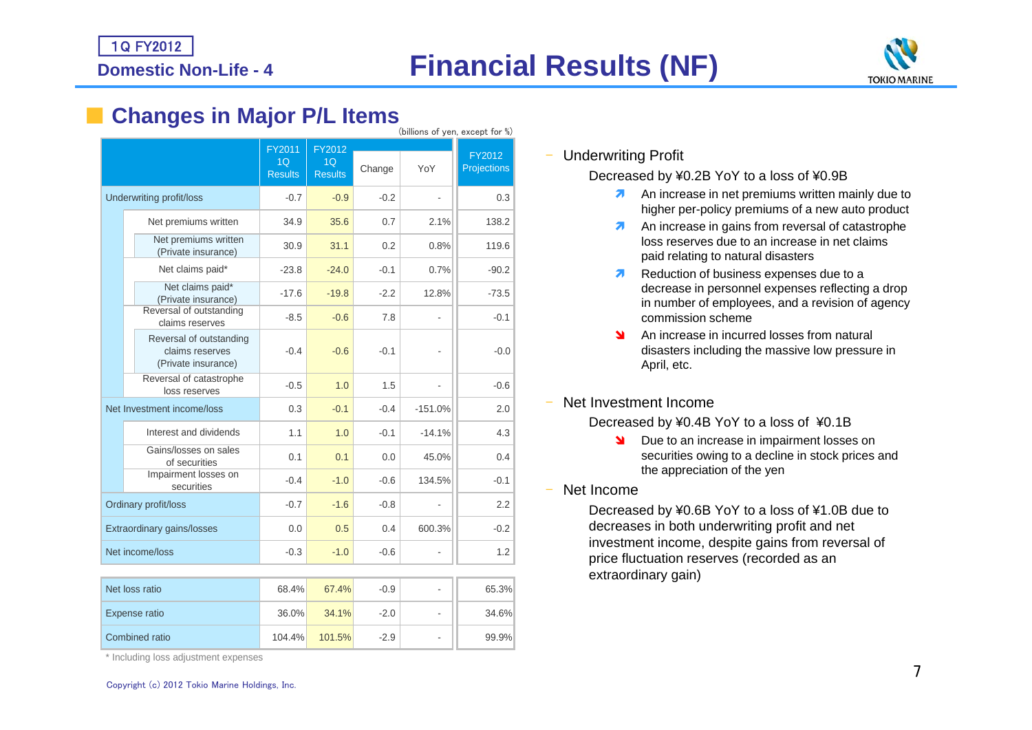**Domestic Non-Life - 4**

# **Financial Results (NF)**



## **Changes in Major P/L Items**

| (billions of yen, except for %) |                                                                   |                                |                                |        |           |                       |
|---------------------------------|-------------------------------------------------------------------|--------------------------------|--------------------------------|--------|-----------|-----------------------|
|                                 |                                                                   | FY2011<br>1Q<br><b>Results</b> | FY2012<br>1Q<br><b>Results</b> | Change | YoY       | FY2012<br>Projections |
|                                 | Underwriting profit/loss                                          | $-0.7$                         | $-0.9$                         | $-0.2$ |           | 0.3                   |
|                                 | Net premiums written                                              | 34.9                           | 35.6                           | 0.7    | 2.1%      | 138.2                 |
|                                 | Net premiums written<br>(Private insurance)                       | 30.9                           | 31.1                           | 0.2    | 0.8%      | 119.6                 |
|                                 | Net claims paid*                                                  | $-23.8$                        | $-24.0$                        | $-0.1$ | 0.7%      | $-90.2$               |
|                                 | Net claims paid*<br>(Private insurance)                           | $-17.6$                        | $-19.8$                        | $-2.2$ | 12.8%     | $-73.5$               |
|                                 | Reversal of outstanding<br>claims reserves                        | $-8.5$                         | $-0.6$                         | 7.8    |           | $-0.1$                |
|                                 | Reversal of outstanding<br>claims reserves<br>(Private insurance) | $-0.4$                         | $-0.6$                         | $-0.1$ |           | $-0.0$                |
|                                 | Reversal of catastrophe<br>loss reserves                          | $-0.5$                         | 1.0                            | 1.5    |           | $-0.6$                |
|                                 | Net Investment income/loss                                        | 0.3                            | $-0.1$                         | $-0.4$ | $-151.0%$ | 2.0                   |
|                                 | Interest and dividends                                            | 1.1                            | 1.0                            | $-0.1$ | $-14.1%$  | 4.3                   |
|                                 | Gains/losses on sales<br>of securities                            | 0.1                            | 0.1                            | 0.0    | 45.0%     | 0.4                   |
|                                 | Impairment losses on<br>securities                                | $-0.4$                         | $-1.0$                         | $-0.6$ | 134.5%    | $-0.1$                |
|                                 | Ordinary profit/loss                                              | $-0.7$                         | $-1.6$                         | $-0.8$ |           | 2.2                   |
|                                 | Extraordinary gains/losses                                        | 0.0                            | 0.5                            | 0.4    | 600.3%    | $-0.2$                |
|                                 | Net income/loss                                                   | $-0.3$                         | $-1.0$                         | $-0.6$ |           | 1.2                   |
|                                 |                                                                   |                                |                                |        |           |                       |
|                                 | Net loss ratio                                                    | 68.4%                          | 67.4%                          | $-0.9$ |           | 65.3%                 |
|                                 | Expense ratio                                                     | 36.0%                          | 34.1%                          | $-2.0$ | ä,        | 34.6%                 |
|                                 | Combined ratio                                                    | 104.4%                         | 101.5%                         | $-2.9$ |           | 99.9%                 |

Underwriting Profit

Decreased by ¥0.2B YoY to a loss of ¥0.9B

- **A** An increase in net premiums written mainly due to higher per-policy premiums of a new auto product
- An increase in gains from reversal of catastrophe loss reserves due to an increase in net claims paid relating to natural disasters
- $\overline{\mathbf{z}}$  Reduction of business expenses due to a decrease in personnel expenses reflecting a drop in number of employees, and a revision of agency commission scheme
- **An increase in incurred losses from natural** disasters including the massive low pressure in April, etc.

### Net Investment Income

Decreased by ¥0.4B YoY to a loss of ¥0.1B

**N**  Due to an increase in impairment losses on securities owing to a decline in stock prices and the appreciation of the yen

### Net Income

Decreased by ¥0.6B YoY to a loss of ¥1.0B due to decreases in both underwriting profit and net investment income, despite gains from reversal of price fluctuation reserves (recorded as an extraordinary gain)

\* Including loss adjustment expenses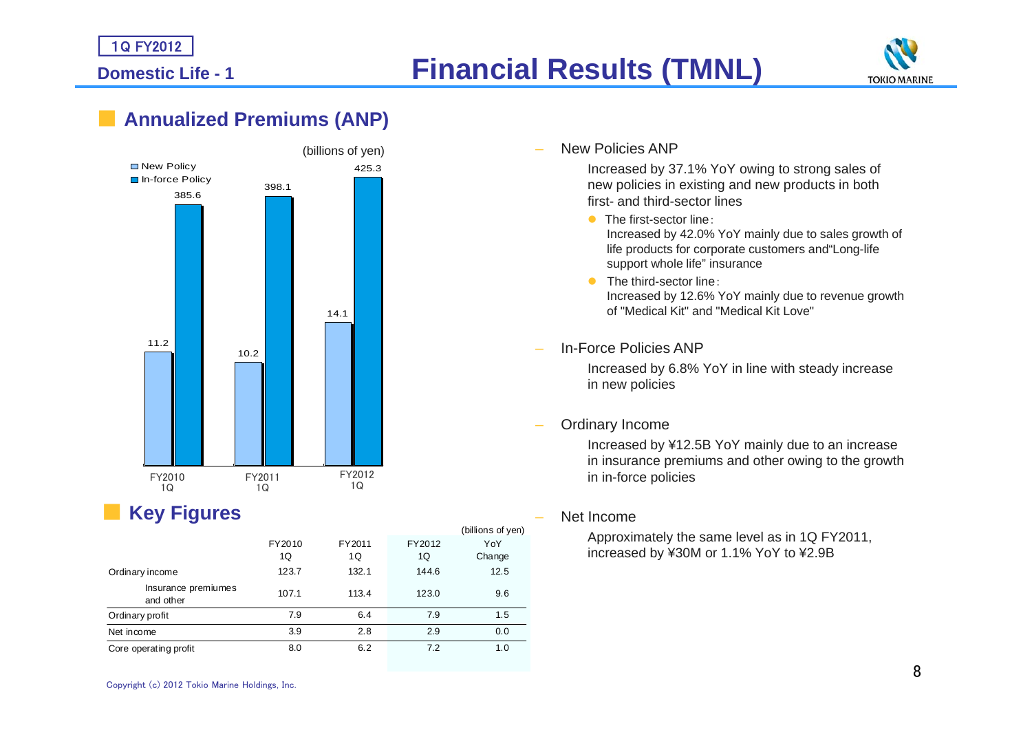**Domestic Life - 1**



### **Annualized Premiums (ANP)**



#### ■**Key Figures**

|                                  |        |        |        | (billions of yen) |
|----------------------------------|--------|--------|--------|-------------------|
|                                  | FY2010 | FY2011 | FY2012 | YoY               |
|                                  | 1Q     | 1Q     | 1Q     | Change            |
| Ordinary income                  | 123.7  | 132.1  | 144.6  | 12.5              |
| Insurance premiumes<br>and other | 107.1  | 113.4  | 123.0  | 9.6               |
| Ordinary profit                  | 7.9    | 6.4    | 7.9    | 1.5               |
| Net income                       | 3.9    | 2.8    | 2.9    | 0.0               |
| Core operating profit            | 8.0    | 6.2    | 7.2    | 1.0               |
|                                  |        |        |        |                   |

New Policies ANP

Increased by 37.1% YoY owing to strong sales of new policies in existing and new products in both first- and third-sector lines

• The first-sector line: Increased by 42.0% YoY mainly due to sales growth of life products for corporate customers and"Long-life support whole life" insurance

- The third-sector line: Increased by 12.6% YoY mainly due to revenue growth of "Medical Kit" and "Medical Kit Love"
- In-Force Policies ANP

Increased by 6.8% YoY in line with steady increase in new policies

Ordinary Income

Increased by ¥12.5B YoY mainly due to an increase in insurance premiums and other owing to the growth in in-force policies

Net Income

Approximately the same level as in 1Q FY2011, increased by ¥30M or 1.1% YoY to ¥2.9B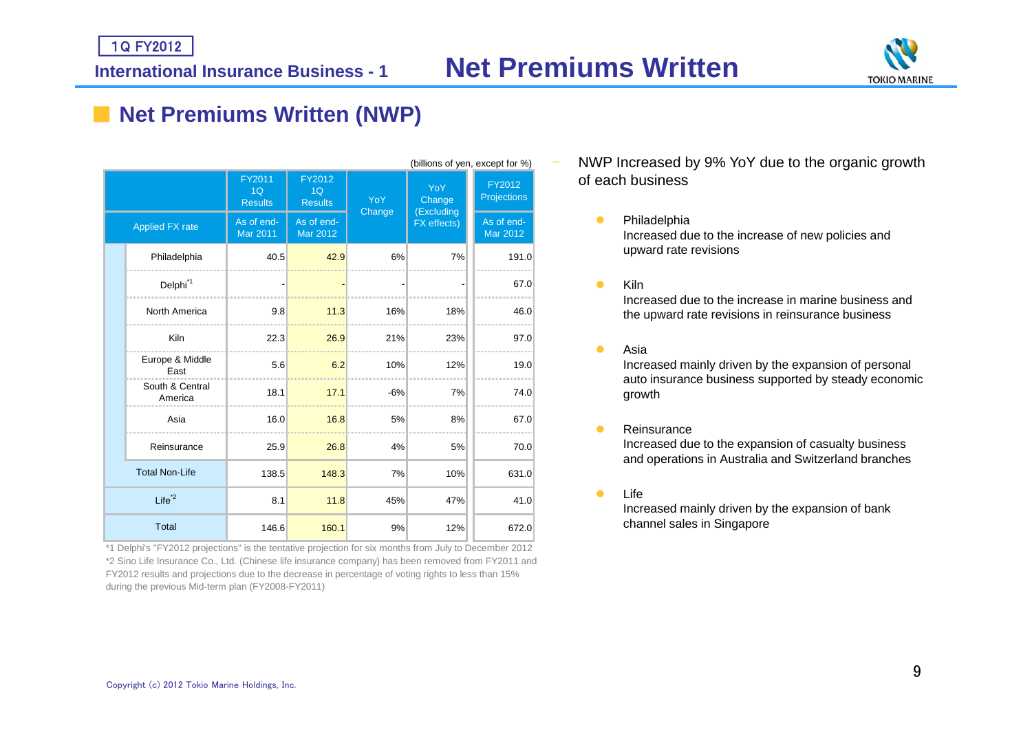

## ■ **Net Premiums Written (NWP)**

| (billions of yen, except for %) |                            |                                            |                                            |        |                             |  |                               |
|---------------------------------|----------------------------|--------------------------------------------|--------------------------------------------|--------|-----------------------------|--|-------------------------------|
|                                 |                            | FY2011<br>1 <sub>O</sub><br><b>Results</b> | FY2012<br>1 <sub>O</sub><br><b>Results</b> | YoY    | YoY<br>Change<br>(Excluding |  | FY2012<br>Projections         |
|                                 | <b>Applied FX rate</b>     | As of end-<br><b>Mar 2011</b>              | As of end-<br>Mar 2012                     | Change | FX effects)                 |  | As of end-<br><b>Mar 2012</b> |
|                                 | Philadelphia               | 40.5                                       | 42.9                                       | 6%     | 7%                          |  | 191.0                         |
|                                 | Delphi <sup>*1</sup>       |                                            |                                            |        |                             |  | 67.0                          |
|                                 | North America              | 9.8                                        | 11.3                                       | 16%    | 18%                         |  | 46.0                          |
|                                 | Kiln                       | 22.3                                       | 26.9                                       | 21%    | 23%                         |  | 97.0                          |
|                                 | Europe & Middle<br>East    | 5.6                                        | 6.2                                        | 10%    | 12%                         |  | 19.0                          |
|                                 | South & Central<br>America | 18.1                                       | 17.1                                       | $-6%$  | 7%                          |  | 74.0                          |
|                                 | Asia                       | 16.0                                       | 16.8                                       | 5%     | 8%                          |  | 67.0                          |
|                                 | Reinsurance                | 25.9                                       | 26.8                                       | 4%     | 5%                          |  | 70.0                          |
|                                 | <b>Total Non-Life</b>      | 138.5                                      | 148.3                                      | 7%     | 10%                         |  | 631.0                         |
|                                 | $Life^{\star 2}$           | 8.1                                        | 11.8                                       | 45%    | 47%                         |  | 41.0                          |
|                                 | <b>Total</b>               | 146.6                                      | 160.1                                      | 9%     | 12%                         |  | 672.0                         |

\*1 Delphi's "FY2012 projections" is the tentative projection for six months from July to December 2012 \*2 Sino Life Insurance Co., Ltd. (Chinese life insurance company) has been removed from FY2011 and FY2012 results and projections due to the decrease in percentage of voting rights to less than 15% during the previous Mid-term plan (FY2008-FY2011)

- NWP Increased by 9% YoY due to the organic growth of each business
	- $\bullet$  Philadelphia Increased due to the increase of new policies and upward rate revisions
	- $\bullet$  Kiln Increased due to the increase in marine business and the upward rate revisions in reinsurance business
	- $\bullet$ Asia

Increased mainly driven by the expansion of personal auto insurance business supported by steady economic growth

 $\bullet$ **Reinsurance** 

Increased due to the expansion of casualty business and operations in Australia and Switzerland branches

 $\bullet$ Life

> Increased mainly driven by the expansion of bank channel sales in Singapore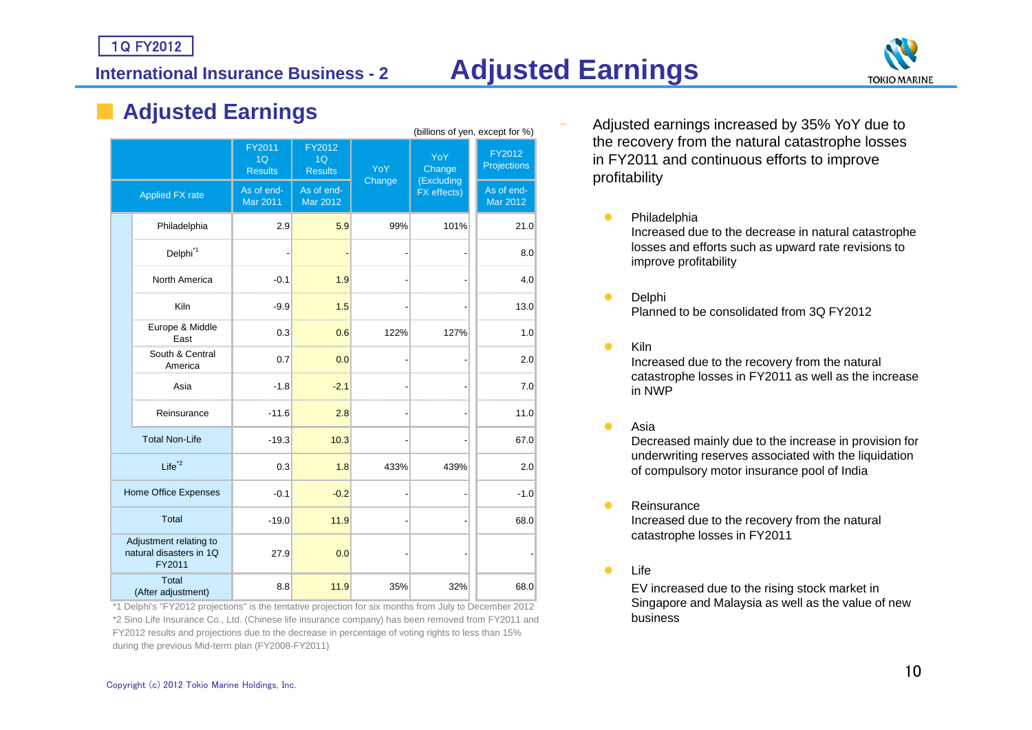# **International Insurance Business - 2 Adjusted Earnings**



## ■ **Adjusted Earnings** –

| (billions of yen, except for %) |                                                             |                               |                         |        |                           |                        |
|---------------------------------|-------------------------------------------------------------|-------------------------------|-------------------------|--------|---------------------------|------------------------|
|                                 |                                                             | FY2011<br>1Q<br>Results       | FY2012<br>1Q<br>Results | YoY    | YoY<br>Change             | FY2012<br>Projections  |
|                                 | <b>Applied FX rate</b>                                      | As of end-<br><b>Mar 2011</b> | As of end-<br>Mar 2012  | Change | (Excluding<br>FX effects) | As of end-<br>Mar 2012 |
|                                 | Philadelphia                                                | 2.9                           | 5.9                     | 99%    | 101%                      | 21.0                   |
|                                 | Delphi <sup>*1</sup>                                        |                               |                         |        |                           | 8.0                    |
|                                 | North America                                               | $-0.1$                        | 1.9                     |        |                           | 4.0                    |
|                                 | Kiln                                                        | $-9.9$                        | 1.5                     |        |                           | 13.0                   |
|                                 | Europe & Middle<br>East                                     | 0.3                           | 0.6                     | 122%   | 127%                      | 1.0                    |
|                                 | South & Central<br>America                                  | 0.7                           | 0.0                     |        |                           | 2.0                    |
|                                 | Asia                                                        | $-1.8$                        | $-2.1$                  |        |                           | 7.0                    |
|                                 | Reinsurance                                                 | $-11.6$                       | 2.8                     |        |                           | 11.0                   |
|                                 | <b>Total Non-Life</b>                                       | $-19.3$                       | 10.3                    |        |                           | 67.0                   |
|                                 | $Life^{\ast 2}$                                             | 0.3                           | 1.8                     | 433%   | 439%                      | 2.0                    |
|                                 | Home Office Expenses                                        | $-0.1$                        | $-0.2$                  |        |                           | $-1.0$                 |
|                                 | Total                                                       | $-19.0$                       | 11.9                    |        |                           | 68.0                   |
|                                 | Adjustment relating to<br>natural disasters in 1Q<br>FY2011 | 27.9                          | 0.0                     |        |                           |                        |
|                                 | Total<br>(After adjustment)                                 | 8.8                           | 11.9                    | 35%    | 32%                       | 68.0                   |

\*1 Delphi's "FY2012 projections" is the tentative projection for six months from July to December 2012 \*2 Sino Life Insurance Co., Ltd. (Chinese life insurance company) has been removed from FY2011 and FY2012 results and projections due to the decrease in percentage of voting rights to less than 15% during the previous Mid-term plan (FY2008-FY2011)

 Adjusted earnings increased by 35% YoY due to the recovery from the natural catastrophe losses in FY2011 and continuous efforts to improve profitability

 $\bullet$  Philadelphia Increased due to the decrease in natural catastrophe losses and efforts such as upward rate revisions to improve profitability

- $\bullet$ Delphi Planned to be consolidated from 3Q FY2012
- $\bullet$ Kiln

Increased due to the recovery from the natural catastrophe losses in FY2011 as well as the increase in NWP

 $\bullet$ Asia

> Decreased mainly due to the increase in provision for underwriting reserves associated with the liquidation of compulsory motor insurance pool of India

 $\bullet$ Reinsurance

Increased due to the recovery from the natural catastrophe losses in FY2011

 $\bullet$ Life

> EV increased due to the rising stock market in Singapore and Malaysia as well as the value of new business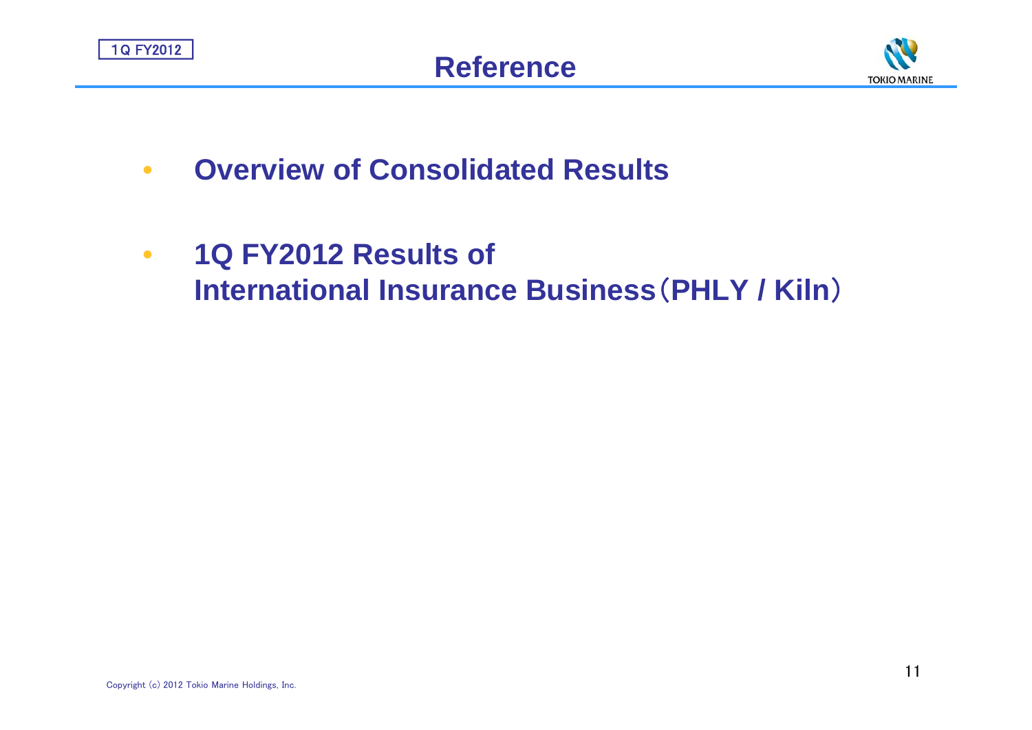

- •**Overview of Consolidated Results**
- • **1Q FY2012 Results of International Insurance Business**(**PHLY / Kiln**)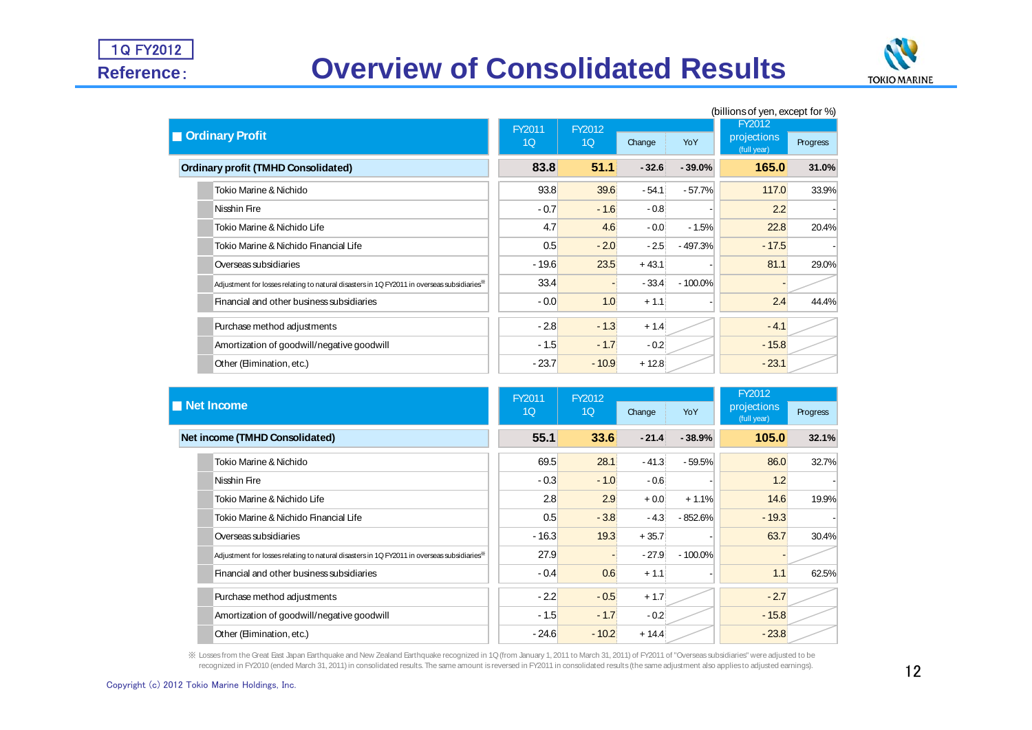# **Overview of Consolidated Results**



| (billions of yen, except for %)                                                                         |         |         |         |            |                            |          |  |
|---------------------------------------------------------------------------------------------------------|---------|---------|---------|------------|----------------------------|----------|--|
|                                                                                                         | FY2011  | FY2012  |         |            | FY2012                     |          |  |
| <b>Ordinary Profit</b>                                                                                  | 1Q      | 1Q      | Change  | YoY        | projections<br>(full year) | Progress |  |
| <b>Ordinary profit (TMHD Consolidated)</b>                                                              | 83.8    | 51.1    | $-32.6$ | $-39.0%$   | 165.0                      | 31.0%    |  |
| Tokio Marine & Nichido                                                                                  | 93.8    | 39.6    | $-54.1$ | $-57.7%$   | 117.0                      | 33.9%    |  |
| Nisshin Fire                                                                                            | $-0.7$  | $-1.6$  | $-0.8$  |            | $2.2^{\circ}$              |          |  |
| Tokio Marine & Nichido Life                                                                             | 4.7     | 4.6     | $-0.0$  | $-1.5%$    | 22.8                       | 20.4%    |  |
| Tokio Marine & Nichido Financial Life                                                                   | 0.5     | $-2.0$  | $-2.5$  | $-497.3%$  | $-17.5$                    |          |  |
| Overseas subsidiaries                                                                                   | $-19.6$ | 23.5    | $+43.1$ |            | 81.1                       | 29.0%    |  |
| Adjustment for losses relating to natural disasters in 1Q FY2011 in overseas subsidiaries <sup>38</sup> | 33.4    |         | $-33.4$ | $-100.0\%$ |                            |          |  |
| Financial and other business subsidiaries                                                               | $-0.0$  | 1.0     | $+1.1$  |            | 2.4 <sup>2</sup>           | 44.4%    |  |
| Purchase method adjustments                                                                             | $-2.8$  | $-1.3$  | $+1.4$  |            | $-4.1$                     |          |  |
| Amortization of goodwill/negative goodwill                                                              | $-1.5$  | $-1.7$  | $-0.2$  |            | $-15.8$                    |          |  |
| Other (Elimination, etc.)                                                                               | $-23.7$ | $-10.9$ | $+12.8$ |            | $-23.1$                    |          |  |

|                                                                                                         | FY2011  | FY2012           |         |           | FY2012                     |          |
|---------------------------------------------------------------------------------------------------------|---------|------------------|---------|-----------|----------------------------|----------|
| Net Income                                                                                              | 1Q      | 1 <sub>Q</sub>   | Change  | YoY       | projections<br>(full year) | Progress |
| Net income (TMHD Consolidated)                                                                          | 55.1    | 33.6             | $-21.4$ | $-38.9%$  | 105.0                      | 32.1%    |
| Tokio Marine & Nichido                                                                                  | 69.5    | 28.1             | $-41.3$ | $-59.5%$  | 86.0                       | 32.7%    |
| Nisshin Fire                                                                                            | $-0.3$  | $-1.0$           | $-0.6$  |           | 1.2 <sub>1</sub>           |          |
| Tokio Marine & Nichido Life                                                                             | 2.8     | 2.9 <sup>°</sup> | $+0.0$  | $+1.1%$   | 14.6                       | 19.9%    |
| Tokio Marine & Nichido Financial Life                                                                   | 0.5     | $-3.8$           | $-4.3$  | $-852.6%$ | $-19.3$                    |          |
| Overseas subsidiaries                                                                                   | $-16.3$ | 19.3             | $+35.7$ |           | 63.7                       | 30.4%    |
| Adjustment for losses relating to natural disasters in 1Q FY2011 in overseas subsidiaries <sup>38</sup> | 27.9    |                  | $-27.9$ | $-100.0%$ |                            |          |
| Financial and other business subsidiaries                                                               | $-0.4$  | 0.6              | $+1.1$  |           | 1.1                        | 62.5%    |
| Purchase method adjustments                                                                             | $-2.2$  | $-0.5$           | $+1.7$  |           | $-2.7$                     |          |
| Amortization of goodwill/negative goodwill                                                              | $-1.5$  | $-1.7$           | $-0.2$  |           | $-15.8$                    |          |
| Other (Elimination, etc.)                                                                               | $-24.6$ | $-10.2$          | $+14.4$ |           | $-23.8$                    |          |

※ Losses from the Great East Japan Earthquake and New Zealand Earthquake recognized in 1Q (from January 1, 2011 to March 31, 2011) of FY2011 of "Overseas subsidiaries" were adjusted to be recognized in FY2010 (ended March 31, 2011) in consolidated results. The same amount is reversed in FY2011 in consolidated results (the same adjustment also applies to adjusted earnings).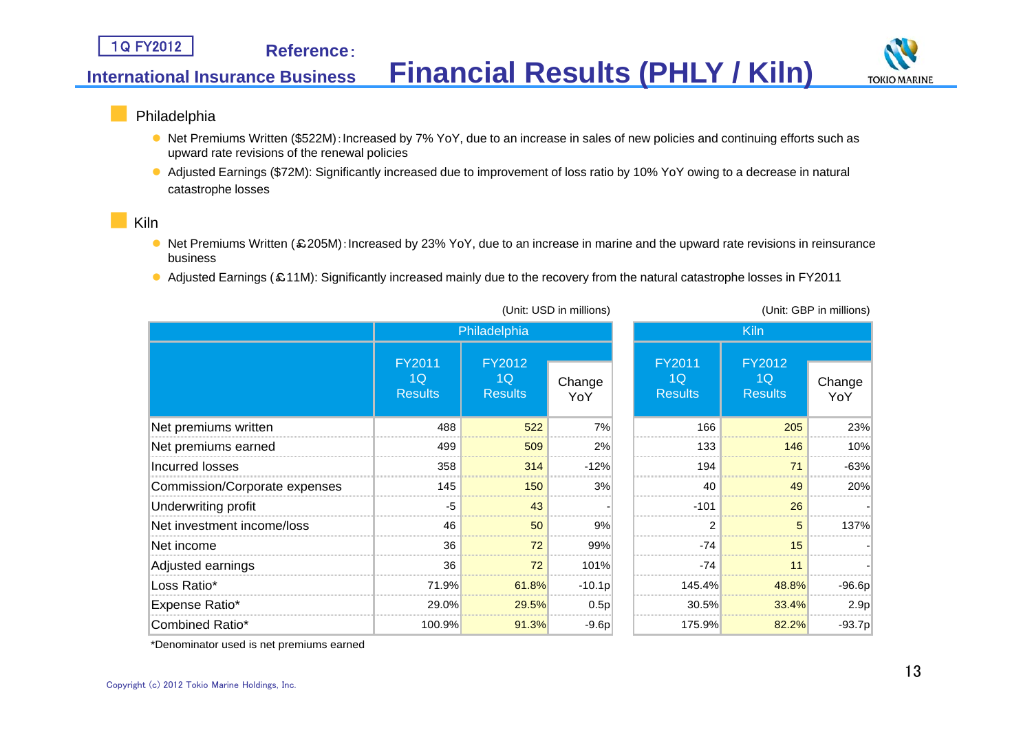

### Philadelphia

**International Insurance Business**

- Net Premiums Written (\$522M): Increased by 7% YoY, due to an increase in sales of new policies and continuing efforts such as upward rate revisions of the renewal policies
- Adjusted Earnings (\$72M): Significantly increased due to improvement of loss ratio by 10% YoY owing to a decrease in natural catastrophe losses

#### ■Kiln

- Net Premiums Written (£205M): Increased by 23% YoY, due to an increase in marine and the upward rate revisions in reinsurance business
- Adjusted Earnings (£11M): Significantly increased mainly due to the recovery from the natural catastrophe losses in FY2011

|                               |                                       |                                       | (Unit: USD in millions) | (Unit: GBP in millions)               |                                |               |
|-------------------------------|---------------------------------------|---------------------------------------|-------------------------|---------------------------------------|--------------------------------|---------------|
|                               | Philadelphia                          |                                       |                         | <b>Kiln</b>                           |                                |               |
|                               | <b>FY2011</b><br>1Q<br><b>Results</b> | <b>FY2012</b><br>1Q<br><b>Results</b> | Change<br>YoY           | <b>FY2011</b><br>1Q<br><b>Results</b> | FY2012<br>1Q<br><b>Results</b> | Change<br>YoY |
| Net premiums written          | 488                                   | 522                                   | 7%                      | 166                                   | 205                            | 23%           |
| Net premiums earned           | 499                                   | 509                                   | 2%                      | 133                                   | 146                            | 10%           |
| Incurred losses               | 358                                   | 314                                   | $-12%$                  | 194                                   | 71                             | $-63%$        |
| Commission/Corporate expenses | 145                                   | 150                                   | 3%                      | 40                                    | 49                             | 20%           |
| Underwriting profit           | $-5$                                  | 43                                    |                         | $-101$                                | 26                             |               |
| Net investment income/loss    | 46                                    | 50                                    | 9%                      | 2                                     | 5                              | 137%          |
| Net income                    | 36                                    | 72                                    | 99%                     | $-74$                                 | 15                             |               |
| Adjusted earnings             | 36                                    | 72                                    | 101%                    | $-74$                                 | 11                             |               |
| Loss Ratio*                   | 71.9%                                 | 61.8%                                 | $-10.1p$                | 145.4%                                | 48.8%                          | $-96.6p$      |
| Expense Ratio*                | 29.0%                                 | 29.5%                                 | 0.5p                    | 30.5%                                 | 33.4%                          | 2.9p          |
| Combined Ratio*               | 100.9%                                | 91.3%                                 | $-9.6p$                 | 175.9%                                | 82.2%                          | $-93.7p$      |

\*Denominator used is net premiums earned